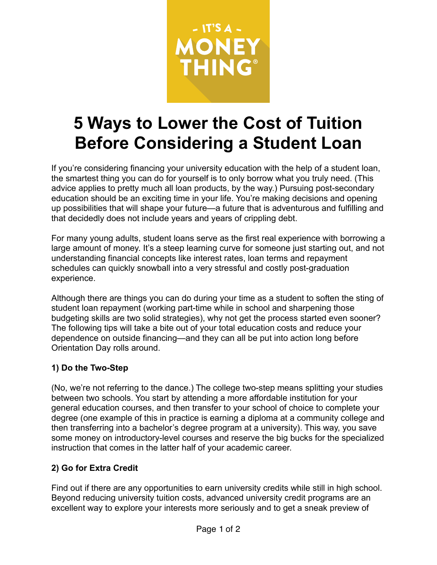

# **5 Ways to Lower the Cost of Tuition Before Considering a Student Loan**

If you're considering financing your university education with the help of a student loan, the smartest thing you can do for yourself is to only borrow what you truly need. (This advice applies to pretty much all loan products, by the way.) Pursuing post-secondary education should be an exciting time in your life. You're making decisions and opening up possibilities that will shape your future—a future that is adventurous and fulfilling and that decidedly does not include years and years of crippling debt.

For many young adults, student loans serve as the first real experience with borrowing a large amount of money. It's a steep learning curve for someone just starting out, and not understanding financial concepts like interest rates, loan terms and repayment schedules can quickly snowball into a very stressful and costly post-graduation experience.

Although there are things you can do during your time as a student to soften the sting of student loan repayment (working part-time while in school and sharpening those budgeting skills are two solid strategies), why not get the process started even sooner? The following tips will take a bite out of your total education costs and reduce your dependence on outside financing—and they can all be put into action long before Orientation Day rolls around.

#### **1) Do the Two-Step**

(No, we're not referring to the dance.) The college two-step means splitting your studies between two schools. You start by attending a more affordable institution for your general education courses, and then transfer to your school of choice to complete your degree (one example of this in practice is earning a diploma at a community college and then transferring into a bachelor's degree program at a university). This way, you save some money on introductory-level courses and reserve the big bucks for the specialized instruction that comes in the latter half of your academic career.

#### **2) Go for Extra Credit**

Find out if there are any opportunities to earn university credits while still in high school. Beyond reducing university tuition costs, advanced university credit programs are an excellent way to explore your interests more seriously and to get a sneak preview of